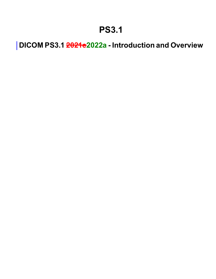## **PS3.1**

**DICOM PS3.1 2021e2022a - Introduction and Overview**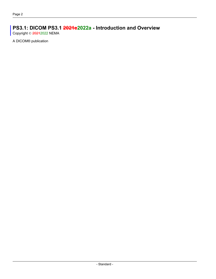## **PS3.1: DICOM PS3.1 2021e2022a - Introduction and Overview**

Copyright © 20212022 NEMA

A DICOM® publication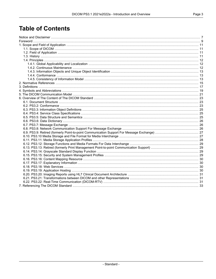## **Table of Contents**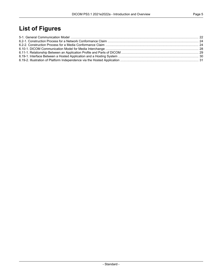## **List of Figures**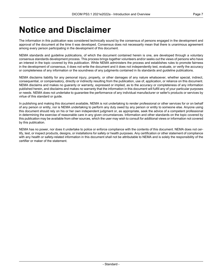## <span id="page-6-0"></span>**Notice and Disclaimer**

The information in this publication was considered technically sound by the consensus of persons engaged in the development and approval of the document at the time it was developed. Consensus does not necessarily mean that there is unanimous agreement among every person participating in the development of this document.

NEMA standards and guideline publications, of which the document contained herein is one, are developed through a voluntary consensus standards development process. This process brings together volunteers and/or seeks out the views of persons who have an interest in the topic covered by this publication. While NEMA administers the process and establishes rules to promote fairness in the development of consensus, it does not write the document and it does not independently test, evaluate, or verify the accuracy or completeness of any information or the soundness of any judgments contained in its standards and guideline publications.

NEMA disclaims liability for any personal injury, property, or other damages of any nature whatsoever, whether special, indirect, consequential, or compensatory, directly or indirectly resulting from the publication, use of, application, or reliance on this document. NEMA disclaims and makes no guaranty or warranty, expressed or implied, as to the accuracy or completeness of any information published herein, and disclaims and makes no warranty that the information in this document will fulfill any of your particular purposes or needs. NEMA does not undertake to guarantee the performance of any individual manufacturer or seller's products or services by virtue of this standard or guide.

In publishing and making this document available, NEMA is not undertaking to render professional or other services for or on behalf of any person or entity, nor is NEMA undertaking to perform any duty owed by any person or entity to someone else. Anyone using this document should rely on his or her own independent judgment or, as appropriate, seek the advice of a competent professional in determining the exercise of reasonable care in any given circumstances. Information and other standards on the topic covered by this publication may be available from other sources, which the user may wish to consult for additional views or information not covered by this publication.

NEMA has no power, nor does it undertake to police or enforce compliance with the contents of this document. NEMA does not cer tify, test, or inspect products, designs, or installations for safety or health purposes. Any certification or other statement of compliance with any health or safety-related information in this document shall not be attributable to NEMA and is solely the responsibility of the certifier or maker of the statement.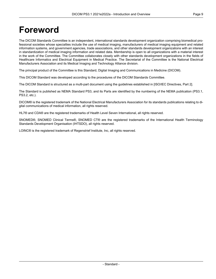## <span id="page-8-0"></span>**Foreword**

The DICOM Standards Committee is an independent, international standards development organization comprising biomedical pro fessional societies whose specialties include the use of medical imaging, manufacturers of medical imaging equipment and related information systems, and government agencies, trade associations, and other standards development organizations with an interest in standardization of medical imaging information and related data. Membership is open to all organizations with a material interest in the work of the Committee. The Committee collaborates closely with other standards development organizations in the fields of Healthcare Informatics and Electrical Equipment in Medical Practice. The Secretariat of the Committee is the National Electrical Manufacturers Association and its Medical Imaging and Technology Alliance division.

The principal product of the Committee is this Standard, Digital Imaging and Communications in Medicine (DICOM).

This DICOM Standard was developed according to the procedures of the DICOM Standards Committee.

The DICOM Standard is structured as a multi-part document using the guidelines established in [ISO/IEC [Directives,](#page-14-1) Part 2].

The Standard is published as NEMA Standard PS3, and its Parts are identified by the numbering of the NEMA publication (PS3.1, PS3.2, etc.).

DICOM® is the registered trademark of the National Electrical Manufacturers Association for its standards publications relating to di gital communications of medical information, all rights reserved.

HL7® and CDA® are the registered trademarks of Health Level Seven International, all rights reserved.

SNOMED®, SNOMED Clinical Terms®, SNOMED CT® are the registered trademarks of the International Health Terminology Standards Development Organisation (IHTSDO), all rights reserved.

LOINC® is the registered trademark of Regenstrief Institute, Inc, all rights reserved.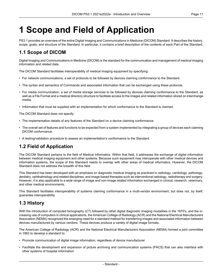# <span id="page-10-0"></span>**1 Scope and Field of Application**

<span id="page-10-1"></span>PS3.1 provides an overview of the entire Digital Imaging and Communications in Medicine (DICOM) Standard. It describes the history, scope, goals, and structure of the Standard. In particular, it contains a brief description of the contents of each Part of the Standard.

### **1.1 Scope of DICOM**

Digital Imaging and Communications in Medicine (DICOM) is the standard for the communication and management of medical imaging information and related data.

The DICOM Standard facilitates interoperability of medical imaging equipment by specifying:

- For network communications, a set of protocols to be followed by devices claiming conformance to the Standard.
- The syntax and semantics of Commands and associated information that can be exchanged using these protocols.
- For media communication, a set of media storage services to be followed by devices claiming conformance to the Standard, as well as a File Format and a medical directory structure to facilitate access to the images and related information stored on interchange media.
- Information that must be supplied with an implementation for which conformance to the Standard is claimed.

The DICOM Standard does not specify:

- The implementation details of any features of the Standard on a device claiming conformance.
- <span id="page-10-2"></span>• The overall set of features and functions to be expected from a system implemented by integrating a group of devices each claiming DICOM conformance.
- A testing/validation procedure to assess an implementation's conformance to the Standard.

### **1.2 Field of Application**

The DICOM Standard pertains to the field of Medical Informatics. Within that field, it addresses the exchange of digital information between medical imaging equipment and other systems. Because such equipment may interoperate with other medical devices and information systems, the scope of this Standard needs to overlap with other areas of medical informatics. However, the DICOM Standard does not address the breadth of this field.

<span id="page-10-3"></span>This Standard has been developed with an emphasis on diagnostic medical imaging as practiced in radiology, cardiology, pathology, dentistry, ophthalmology and related disciplines, and image-based therapies such as interventional radiology, radiotherapy and surgery. However, it is also applicable to a wide range of image and non-image related information exchanged in clinical, research, veterinary, and other medical environments.

This Standard facilitates interoperability of systems claiming conformance in a multi-vendor environment, but does not, by itself, guarantee interoperability.

### **1.3 History**

With the introduction of computed tomography (CT) followed by other digital diagnostic imaging modalities in the 1970's, and the in creasing use of computers in clinical applications, the American College of Radiology (ACR) and the National Electrical Manufacturers Association (NEMA) recognized the emerging need for a standard method for transferring images and associated information between devices manufactured by various vendors. These devices produce a variety of digital image formats.

The American College of Radiology (ACR) and the National Electrical Manufacturers Association (NEMA) formed a joint committee in 1983 to develop a standard to:

- Promote communication of digital image information, regardless of device manufacturer
- Facilitate the development and expansion of picture archiving and communication systems (PACS) that can also interface with other systems of hospital information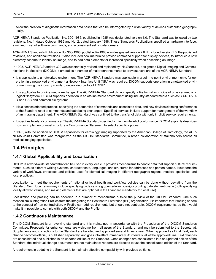• Allow the creation of diagnostic information data bases that can be interrogated by a wide variety of devices distributed geograph ically.

ACR-NEMA Standards Publication No. 300-1985, published in 1985 was designated version 1.0. The Standard was followed by two revisions: No. 1, dated October 1986 and No. 2, dated January 1988. These Standards Publications specified a hardware interface, a minimum set of software commands, and a consistent set of data formats.

ACR-NEMA Standards Publication No. 300-1988, published in 1988 was designated version 2.0. It included version 1.0, the published revisions, and additional revisions. It also included new material to provide command support for display devices, to introduce a new hierarchy scheme to identify an image, and to add data elements for increased specificity when describing an image.

In 1993, ACR-NEMA Standard 300 was substantially revised and replaced by this Standard, designated Digital Imaging and Commu nications in Medicine (DICOM). It embodies a number of major enhancements to previous versions of the ACR-NEMA Standard:

- It is applicable to a networked environment. The ACR-NEMA Standard was applicable in a point-to-point environment only; for op eration in a networked environment a Network Interface Unit (NIU) was required. DICOM supports operation in a networked envir onment using the industry standard networking protocol TCP/IP.
- It is applicable to off-line media exchange. The ACR-NEMA Standard did not specify a file format or choice of physical media or logical filesystem. DICOM supports operation in an off-line media environment using industry standard media such as CD-R, DVD- R and USB and common file systems.
- It is a service oriented protocol, specifying the semantics of commands and associated data, and how devices claiming conformance to the Standard react to commands and data being exchanged. Specified services include support for management of the workflow of an imaging department. The ACR-NEMA Standard was confined to the transfer of data with only implicit service requirements.
- It specifies levels of conformance. The ACR-NEMA Standard specified a minimum level of conformance. DICOM explicitly describes how an implementor must structure a Conformance Statement to select specific options.

<span id="page-11-1"></span><span id="page-11-0"></span>In 1995, with the addition of DICOM capabilities for cardiology imaging supported by the American College of Cardiology, the ACR- NEMA Joint Committee was reorganized as the DICOM Standards Committee, a broad collaboration of stakeholders across all medical imaging specialties.

### **1.4 Principles**

#### **1.4.1 Global Applicability and Localization**

DICOM is a world-wide standard that can be used in every locale. It provides mechanisms to handle data that support cultural require ments, such as different writing systems, character sets, languages, and structures for addresses and person names. It supports the variety of workflows, processes and policies used for biomedical imaging in different geographic regions, medical specialties and local practices.

Localization to meet the requirements of national or local health and workflow policies can be done without deviating from the Standard. Such localization may include specifying code sets (e.g., procedure codes), or profiling data element usage (both specifying locally allowed values, and making elements that are optional in the Standard mandatory for local use).

<span id="page-11-2"></span>Localization and profiling can be specified in a number of mechanisms outside the purview of the DICOM Standard. One such mechanism is Integration Profiles from the Integrating the Healthcare Enterprise (IHE) organization. It is important that Profiling adhere to the concept of non-contradiction. A Profile can add requirements but should not contradict DICOM requirements, as that would make it impossible to comply with both DICOM and the Profile.

#### **1.4.2 Continuous Maintenance**

The DICOM Standard is an evolving standard and it is maintained in accordance with the Procedures of the DICOM Standards Committee. Proposals for enhancements are welcome from all users of the Standard, and may be submitted to the Secretariat. Supplements and corrections to the Standard are balloted and approved several times a year. When approved as Final Text, each change becomes official, is published separately, and goes into effect immediately. At intervals, all of the approved Final Text changes are consolidated and published in an updated edition of the Standard. Once changes are consolidated into an updated edition of the Standard, the individual change documents are not maintained; readers are directed to use the consolidated edition of the Standard.

A requirement in updating the Standard is to maintain effective compatibility with previous editions.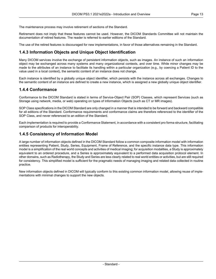The maintenance process may involve retirement of sections of the Standard.

Retirement does not imply that these features cannot be used. However, the DICOM Standards Committee will not maintain the documentation of retired features. The reader is referred to earlier editions of the Standard.

<span id="page-12-0"></span>The use of the retired features is discouraged for new implementations, in favor of those alternatives remaining in the Standard.

#### **1.4.3 Information Objects and Unique Object Identification**

Many DICOM services involve the exchange of persistent information objects, such as images. An instance of such an information object may be exchanged across many systems and many organizational contexts, and over time. While minor changes may be made to the attributes of an instance to facilitate its handling within a particular organization (e.g., by coercing a Patient ID to the value used in a local context), the semantic content of an instance does not change.

<span id="page-12-1"></span>Each instance is identified by a globally unique object identifier, which persists with the instance across all exchanges. Changes to the semantic content of an instance are defined to create a new instance, which is assigned a new globally unique object identifier.

#### **1.4.4 Conformance**

Conformance to the DICOM Standard is stated in terms of Service-Object Pair (SOP) Classes, which represent Services (such as Storage using network, media, or web) operating on types of Information Objects (such as CT or MR images).

SOP Class specifications in the DICOM Standard are only changed in a manner that is intended to be forward and backward compatible for all editions of the Standard. Conformance requirements and conformance claims are therefore referenced to the identifier of the SOP Class, and never referenced to an edition of the Standard.

<span id="page-12-2"></span>Each implementation is required to provide a Conformance Statement, in accordance with a consistent pro forma structure, facilitating comparison of products for interoperability.

#### **1.4.5 Consistency of Information Model**

A large number of information objects defined in the DICOM Standard follow a common composite information model with information entities representing Patient, Study, Series, Equipment, Frame of Reference, and the specific instance data type. This information model is a simplification of the real world concepts and activities of medical imaging; for acquisition modalities, a Study is approximately equivalent to an ordered procedure, and a Series is approximately equivalent to a performed data acquisition protocol element. In other domains, such as Radiotherapy, the Study and Series are less clearly related to real world entities or activities, but are still required for consistency. This simplified model is sufficient for the pragmatic needs of managing imaging and related data collected in routine practice.

New information objects defined in DICOM will typically conform to this existing common information model, allowing reuse of imple mentations with minimal changes to support the new objects.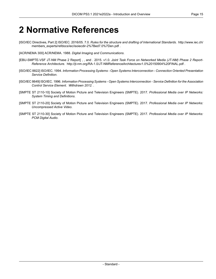## <span id="page-14-0"></span>**2 Normative References**

- <span id="page-14-1"></span>[ISO/IEC Directives, Part 2] ISO/IEC. 2016/05. 7.0. *Rules for the structure and drafting of International Standards*. [http://www.iec.ch/](http://www.iec.ch/members_experts/refdocs/iec/isoiecdir-2%7Bed7.0%7Den.pdf) [members\\_experts/refdocs/iec/isoiecdir-2%7Bed7.0%7Den.pdf](http://www.iec.ch/members_experts/refdocs/iec/isoiecdir-2%7Bed7.0%7Den.pdf) .
- <span id="page-14-2"></span>[ACR/NEMA 300] ACR/NEMA. 1988. *Digital Imaging and Communications*.
- [EBU-SMPTE-VSF JT-NM Phase 2 Report] , , and . 2015. v1.0. *Joint Task Force on Networked Media (JT-NM) Phase 2 Report- Reference Architecture*. <http://jt-nm.org/RA-1.0/JT-NMReferenceArchitecturev1.0%20150904%20FINAL.pdf> .
- [ISO/IEC 8822] ISO/IEC. 1994. *Information Processing Systems - Open Systems Interconnection - Connection Oriented Presentation Service Definition*.
- <span id="page-14-3"></span>[ISO/IEC 8649] ISO/IEC. 1996. *Information Processing Systems - Open Systems Interconnection - Service Definition for the Association Control Service Element*. *Withdrawn 2012.* .
- <span id="page-14-4"></span>[SMPTE ST 2110-10] Society of Motion Picture and Television Engineers (SMPTE). 2017. *Professional Media over IP Networks: System Timing and Definitions*.
- <span id="page-14-5"></span>[SMPTE ST 2110-20] Society of Motion Picture and Television Engineers (SMPTE). 2017. *Professional Media over IP Networks: Uncompressed Active Video*.
- [SMPTE ST 2110-30] Society of Motion Picture and Television Engineers (SMPTE). 2017. *Professional Media over IP Networks: PCM Digital Audio*.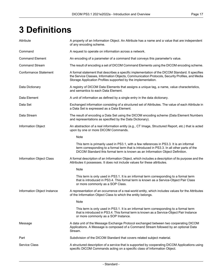# <span id="page-16-0"></span>**3 Definitions**

| Attribute                    | A property of an Information Object. An Attribute has a name and a value that are independent<br>of any encoding scheme.                                                                                                                                               |
|------------------------------|------------------------------------------------------------------------------------------------------------------------------------------------------------------------------------------------------------------------------------------------------------------------|
| Command                      | A request to operate on information across a network.                                                                                                                                                                                                                  |
| <b>Command Element</b>       | An encoding of a parameter of a command that conveys this parameter's value.                                                                                                                                                                                           |
| <b>Command Stream</b>        | The result of encoding a set of DICOM Command Elements using the DICOM encoding scheme.                                                                                                                                                                                |
| <b>Conformance Statement</b> | A formal statement that describes a specific implementation of the DICOM Standard. It specifies<br>the Service Classes, Information Objects, Communication Protocols, Security Profiles, and Media<br>Storage Application Profiles supported by the implementation.    |
| Data Dictionary              | A registry of DICOM Data Elements that assigns a unique tag, a name, value characteristics,<br>and semantics to each Data Element.                                                                                                                                     |
| Data Element                 | A unit of information as defined by a single entry in the data dictionary.                                                                                                                                                                                             |
| Data Set                     | Exchanged information consisting of a structured set of Attributes. The value of each Attribute in<br>a Data Set is expressed as a Data Element.                                                                                                                       |
| Data Stream                  | The result of encoding a Data Set using the DICOM encoding scheme (Data Element Numbers<br>and representations as specified by the Data Dictionary).                                                                                                                   |
| <b>Information Object</b>    | An abstraction of a real information entity (e.g., CT Image, Structured Report, etc.) that is acted<br>upon by one or more DICOM Commands.                                                                                                                             |
|                              | Note                                                                                                                                                                                                                                                                   |
|                              | This term is primarily used in PS3.1, with a few references in PS3.3. It is an informal<br>term corresponding to a formal term that is introduced in PS3.3. In all other parts of the<br>DICOM Standard this formal term is known as an Information Object Definition. |
| Information Object Class     | A formal description of an Information Object, which includes a description of its purpose and the<br>Attributes it possesses. It does not include values for these attributes.                                                                                        |
|                              | Note                                                                                                                                                                                                                                                                   |
|                              | This term is only used in PS3.1. It is an informal term corresponding to a formal term<br>that is introduced in PS3.4. This formal term is known as a Service-Object Pair Class<br>or more commonly as a SOP Class.                                                    |
| Information Object Instance  | A representation of an occurrence of a real-world entity, which includes values for the Attributes<br>of the Information Object Class to which the entity belongs.                                                                                                     |
|                              | Note                                                                                                                                                                                                                                                                   |
|                              | This term is only used in PS3.1. It is an informal term corresponding to a formal term<br>that is introduced in PS3.4. This formal term is known as a Service-Object Pair Instance<br>or more commonly as a SOP Instance.                                              |
| Message                      | A data unit of the Message Exchange Protocol exchanged between two cooperating DICOM<br>Applications. A Message is composed of a Command Stream followed by an optional Data<br>Stream.                                                                                |
| Part                         | Subdivision of the DICOM Standard that covers related subject material.                                                                                                                                                                                                |
| <b>Service Class</b>         | A structured description of a service that is supported by cooperating DICOM Applications using<br>specific DICOM Commands acting on a specific class of Information Object.                                                                                           |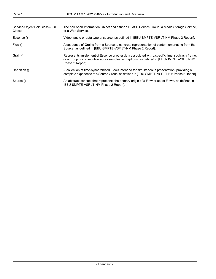| Service-Object Pair Class (SOP<br>Class) | The pair of an Information Object and either a DIMSE Service Group, a Media Storage Service,<br>or a Web Service.                                                                                                |
|------------------------------------------|------------------------------------------------------------------------------------------------------------------------------------------------------------------------------------------------------------------|
| Essence ()                               | Video, audio or data type of source, as defined in [EBU-SMPTE-VSF JT-NM Phase 2 Report].                                                                                                                         |
| Flow()                                   | A sequence of Grains from a Source; a concrete representation of content emanating from the<br>Source, as defined in [EBU-SMPTE-VSF JT-NM Phase 2 Report].                                                       |
| Grain ()                                 | Represents an element of Essence or other data associated with a specific time, such as a frame,<br>or a group of consecutive audio samples, or captions, as defined in [EBU-SMPTE-VSF JT-NM<br>Phase 2 Report]. |
| Rendition ()                             | A collection of time-synchronized Flows intended for simultaneous presentation, providing a<br>complete experience of a Source Group, as defined in [EBU-SMPTE-VSF JT-NM Phase 2 Report].                        |
| Source ()                                | An abstract concept that represents the primary origin of a Flow or set of Flows, as defined in<br>[EBU-SMPTE-VSF JT-NM Phase 2 Report].                                                                         |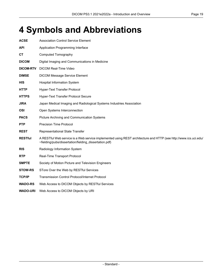## <span id="page-18-0"></span>**4 Symbols and Abbreviations**

| <b>ACSE</b>      | <b>Association Control Service Element</b>                                                                                                                                 |
|------------------|----------------------------------------------------------------------------------------------------------------------------------------------------------------------------|
| <b>API</b>       | Application Programming Interface                                                                                                                                          |
| <b>CT</b>        | <b>Computed Tomography</b>                                                                                                                                                 |
| <b>DICOM</b>     | Digital Imaging and Communications in Medicine                                                                                                                             |
| <b>DICOM-RTV</b> | <b>DICOM Real-Time Video</b>                                                                                                                                               |
| <b>DIMSE</b>     | <b>DICOM Message Service Element</b>                                                                                                                                       |
| <b>HIS</b>       | <b>Hospital Information System</b>                                                                                                                                         |
| <b>HTTP</b>      | Hyper-Text Transfer Protocol                                                                                                                                               |
| <b>HTTPS</b>     | Hyper-Text Transfer Protocol Secure                                                                                                                                        |
| <b>JIRA</b>      | Japan Medical Imaging and Radiological Systems Industries Association                                                                                                      |
| <b>OSI</b>       | Open Systems Interconnection                                                                                                                                               |
| <b>PACS</b>      | Picture Archiving and Communication Systems                                                                                                                                |
| <b>PTP</b>       | <b>Precision Time Protocol</b>                                                                                                                                             |
| <b>REST</b>      | Representational State Transfer                                                                                                                                            |
| <b>RESTful</b>   | A RESTful Web service is a Web service implemented using REST architecture and HTTP (see http://www.ics.uci.edu/<br>~fielding/pubs/dissertation/fielding_dissertation.pdf) |
| <b>RIS</b>       | Radiology Information System                                                                                                                                               |
| <b>RTP</b>       | Real-Time Transport Protocol                                                                                                                                               |
| <b>SMPTE</b>     | Society of Motion Picture and Television Engineers                                                                                                                         |
| <b>STOW-RS</b>   | STore Over the Web by RESTful Services                                                                                                                                     |
| <b>TCP/IP</b>    | <b>Transmission Control Protocol/Internet Protocol</b>                                                                                                                     |
| <b>WADO-RS</b>   | Web Access to DICOM Objects by RESTful Services                                                                                                                            |

**WADO-URI** Web Access to DICOM Objects by URI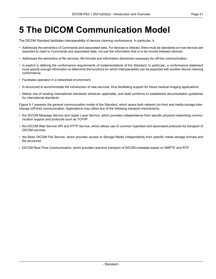## <span id="page-20-0"></span>**5 The DICOM Communication Model**

The DICOM Standard facilitates interoperability of devices claiming conformance. In particular, it:

- Addresses the semantics of Commands and associated data. For devices to interact, there must be standards on how devices are expected to react to Commands and associated data, not just the information that is to be moved between devices.
- Addresses the semantics of file services, file formats and information directories necessary for off-line communication.
- Is explicit in defining the conformance requirements of implementations of the Standard. In particular, a conformance statement must specify enough information to determine the functions for which interoperability can be expected with another device claiming conformance.
- Facilitates operation in a networked environment.
- Is structured to accommodate the introduction of new services, thus facilitating support for future medical imaging applications.
- Makes use of existing international standards wherever applicable, and itself conforms to established documentation guidelines for international standards.

[Figure](#page-21-0) 5-1 presents the general communication model of the Standard, which spans both network (on-line) and media storage inter change (off-line) communication. Applications may utilize any of the following transport mechanisms:

- the DICOM Message Service and Upper Layer Service, which provides independence from specific physical networking commu nication support and protocols such as TCP/IP.
- the DICOM Web Service API and HTTP Service, which allows use of common hypertext and associated protocols for transport of DICOM services
- the Basic DICOM File Service, which provides access to Storage Media independently from specific media storage formats and file structures
- DICOM Real-Time Communication, which provides real-time transport of DICOM metadata based on SMPTE and RTP.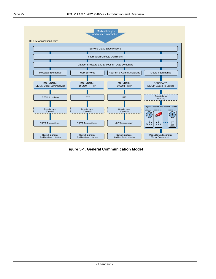<span id="page-21-0"></span>

**Figure 5-1. General Communication Model**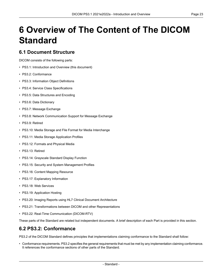# <span id="page-22-0"></span>**6 Overview of The Content of The DICOM Standard**

#### <span id="page-22-1"></span>**6.1 Document Structure**

DICOM consists of the following parts:

- PS3.1: Introduction and Overview (this document)
- PS3.2: [Conformance](part02.pdf#PS3.2)
- PS3.3: [Information](part03.pdf#PS3.3) Object Definitions
- PS3.4: Service Class [Specifications](part04.pdf#PS3.4)
- PS3.5: Data [Structures](part05.pdf#PS3.5) and Encoding
- PS3.6: Data [Dictionary](part06.pdf#PS3.6)
- PS3.7: Message [Exchange](part07.pdf#PS3.7)
- PS3.8: Network [Communication](part08.pdf#PS3.8) Support for Message Exchange
- PS3.9: Retired
- PS3.10: Media Storage and File Format for Media [Interchange](part10.pdf#PS3.10)
- PS3.11: Media Storage [Application](part11.pdf#PS3.11) Profiles
- PS3.12: Formats and [Physical](part12.pdf#PS3.12) Media
- PS3.13: Retired
- PS3.14: [Grayscale](part14.pdf#PS3.14) Standard Display Function
- PS3.15: Security and System [Management](part15.pdf#PS3.15) Profiles
- PS3.16: Content Mapping [Resource](part16.pdf#PS3.16)
- PS3.17: [Explanatory](part17.pdf#PS3.17) Information
- PS3.18: Web [Services](part18.pdf#PS3.18)
- PS3.19: [Application](part19.pdf#PS3.19) Hosting
- <span id="page-22-2"></span>• PS3.20: Imaging Reports using HL7 Clinical Document [Architecture](part20.pdf#PS3.20)
- PS3.21: Transformations between DICOM and other [Representations](part21.pdf#PS3.21)
- PS3.22: Real-Time [Communication](part22.pdf#PS3.22) (DICOM-RTV)

These parts of the Standard are related but independent documents. A brief description of each Part is provided in this section.

#### **6.2 PS3.2: Conformance**

[PS3.2](part02.pdf#PS3.2) of the DICOM Standard defines principles that implementations claiming conformance to the Standard shall follow:

• Conformance requirements. [PS3.2](part02.pdf#PS3.2) specifies the general requirements that must be met by any implementation claiming conformance. It references the conformance sections of other parts of the Standard.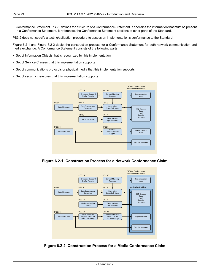• Conformance Statement. [PS3.2](part02.pdf#PS3.2) defines the structure of a Conformance Statement. It specifies the information that must be present in a Conformance Statement. It references the Conformance Statement sections of other parts of the Standard.

[PS3.2](part02.pdf#PS3.2) does not specify a testing/validation procedure to assess an implementation's conformance to the Standard.

[Figure](#page-23-0) 6.2-1 and [Figure](#page-23-1) 6.2-2 depict the construction process for a Conformance Statement for both network communication and media exchange. A Conformance Statement consists of the following parts:

- Set of Information Objects that is recognized by this implementation
- Set of Service Classes that this implementation supports
- Set of communications protocols or physical media that this implementation supports
- <span id="page-23-0"></span>• Set of security measures that this implementation supports.



<span id="page-23-1"></span>**Figure 6.2-1. Construction Process for a Network Conformance Claim**



**Figure 6.2-2. Construction Process for a Media Conformance Claim**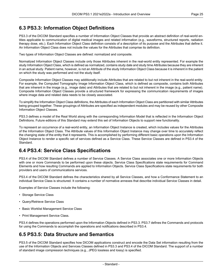### <span id="page-24-0"></span>**6.3 PS3.3: Information Object Definitions**

[PS3.3](part03.pdf#PS3.3) of the DICOM Standard specifies a number of Information Object Classes that provide an abstract definition of real-world en tities applicable to communication of digital medical images and related information (e.g., waveforms, structured reports, radiation therapy dose, etc.). Each Information Object Class definition consists of a description of its purpose and the Attributes that define it. An Information Object Class does not include the values for the Attributes that comprise its definition.

Two types of Information Object Classes are defined: normalized and composite.

Normalized Information Object Classes include only those Attributes inherent in the real-world entity represented. For example the study Information Object Class, which is defined as normalized, contains study date and study time Attributes because they are inherent in an actual study. Patient name, however, is not an Attribute of the study Information Object Class because it is inherent in the patient on which the study was performed and not the study itself.

Composite Information Object Classes may additionally include Attributes that are related to but not inherent in the real-world entity. For example, the Computed Tomography Image Information Object Class, which is defined as composite, contains both Attributes that are inherent in the image (e.g., image date) and Attributes that are related to but not inherent in the image (e.g., patient name). Composite Information Object Classes provide a structured framework for expressing the communication requirements of images where image data and related data needs to be closely associated.

To simplify the Information Object Class definitions, the Attributes of each Information Object Class are partitioned with similar Attributes being grouped together. These groupings of Attributes are specified as independent modules and may be reused by other Composite Information Object Classes.

[PS3.3](part03.pdf#PS3.3) defines a model of the Real World along with the corresponding Information Model that is reflected in the Information Object Definitions. Future editions of this Standard may extend this set of Information Objects to support new functionality.

<span id="page-24-1"></span>To represent an occurrence of a real-world entity, an Information Object Instance is created, which includes values for the Attributes of the Information Object Class. The Attribute values of this Information Object Instance may change over time to accurately reflect the changing state of the entity that it represents. This is accomplished by performing different basic operations upon the Information Object Instance to render a specific set of services defined as a Service Class. These Service Classes are defined in [PS3.4](part04.pdf#PS3.4) of the Standard.

### **6.4 PS3.4: Service Class Specifications**

[PS3.4](part04.pdf#PS3.4) of the DICOM Standard defines a number of Service Classes. A Service Class associates one or more Information Objects with one or more Commands to be performed upon these objects. Service Class Specifications state requirements for Command Elements and how resulting Commands are applied to Information Objects. Service Class Specifications state requirements for both providers and users of communications services.

[PS3.4](part04.pdf#PS3.4) of the DICOM Standard defines the characteristics shared by all Service Classes, and how a Conformance Statement to an individual Service Class is structured. It contains a number of normative annexes that describe individual Service Classes in detail.

Examples of Service Classes include the following:

- Storage Service Class
- Query/Retrieve Service Class
- <span id="page-24-2"></span>• Basic Worklist Management Service Class
- Print Management Service Class.

[PS3.4](part04.pdf#PS3.4) defines the operations performed upon the Information Objects defined in [PS3.3.](part03.pdf#PS3.3) [PS3.7](part07.pdf#PS3.7) defines the Commands and protocols for using the Commands to accomplish the operations and notifications described in [PS3.4](part04.pdf#PS3.4).

### **6.5 PS3.5: Data Structure and Semantics**

[PS3.5](part05.pdf#PS3.5) of the DICOM Standard specifies how DICOM applications construct and encode the Data Set information resulting from the use of the Information Objects and Services Classes defined in [PS3.3](part03.pdf#PS3.3) and [PS3.4](part04.pdf#PS3.4) of the DICOM Standard. The support of a number of standard image compression techniques (e.g., JPEG lossless and lossy) is specified.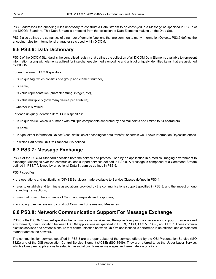[PS3.5](part05.pdf#PS3.5) addresses the encoding rules necessary to construct a Data Stream to be conveyed in a Message as specified in [PS3.7](part07.pdf#PS3.7) of the DICOM Standard. This Data Stream is produced from the collection of Data Elements making up the Data Set.

<span id="page-25-0"></span>[PS3.5](part05.pdf#PS3.5) also defines the semantics of a number of generic functions that are common to many Information Objects. [PS3.5](part05.pdf#PS3.5) defines the encoding rules for international character sets used within DICOM.

#### **6.6 PS3.6: Data Dictionary**

[PS3.6](part06.pdf#PS3.6) of the DICOM Standard is the centralized registry that defines the collection of all DICOM Data Elements available to represent information, along with elements utilized for interchangeable media encoding and a list of uniquely identified items that are assigned by DICOM.

For each element, [PS3.6](part06.pdf#PS3.6) specifies:

- its unique tag, which consists of a group and element number,
- its name,
- its value representation (character string, integer, etc),
- its value multiplicity (how many values per attribute),
- whether it is retired.

For each uniquely identified item, [PS3.6](part06.pdf#PS3.6) specifies:

- its unique value, which is numeric with multiple components separated by decimal points and limited to 64 characters,
- its name,
- <span id="page-25-1"></span>• its type, either Information Object Class, definition of encoding for data transfer, or certain well known Information Object Instances,
- in which Part of the DICOM Standard it is defined.

#### **6.7 PS3.7: Message Exchange**

[PS3.7](part07.pdf#PS3.7) of the DICOM Standard specifies both the service and protocol used by an application in a medical imaging environment to exchange Messages over the communications support services defined in [PS3.8.](part08.pdf#PS3.8) A Message is composed of a Command Stream defined in [PS3.7](part07.pdf#PS3.7) followed by an optional Data Stream as defined in [PS3.5](part05.pdf#PS3.5).

[PS3.7](part07.pdf#PS3.7) specifies:

- the operations and notifications (DIMSE Services) made available to Service Classes defined in [PS3.4,](part04.pdf#PS3.4)
- <span id="page-25-2"></span>• rules to establish and terminate associations provided by the communications support specified in [PS3.8,](part08.pdf#PS3.8) and the impact on out standing transactions,
- rules that govern the exchange of Command requests and responses,
- encoding rules necessary to construct Command Streams and Messages.

#### **6.8 PS3.8: Network Communication Support For Message Exchange**

[PS3.8](part08.pdf#PS3.8) of the DICOM Standard specifies the communication services and the upper layer protocols necessary to support, in a networked environment, communication between DICOM applications as specified in [PS3.3](part03.pdf#PS3.3), [PS3.4,](part04.pdf#PS3.4) [PS3.5](part05.pdf#PS3.5), [PS3.6,](part06.pdf#PS3.6) and [PS3.7.](part07.pdf#PS3.7) These commu nication services and protocols ensure that communication between DICOM applications is performed in an efficient and coordinated manner across the network.

The communication services specified in [PS3.8](part08.pdf#PS3.8) are a proper subset of the services offered by the OSI Presentation Service (ISO 8822) and of the OSI Association Control Service Element (ACSE) (ISO 8649). They are referred to as the Upper Layer Service, which allows peer applications to establish associations, transfer messages and terminate associations.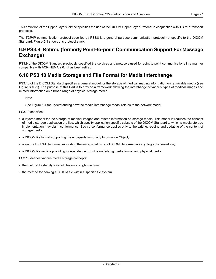This definition of the Upper Layer Service specifies the use of the DICOM Upper Layer Protocol in conjunction with TCP/IP transport protocols.

<span id="page-26-0"></span>The TCP/IP communication protocol specified by [PS3.8](part08.pdf#PS3.8) is a general purpose communication protocol not specific to the DICOM Standard. [Figure](#page-21-0) 5-1 shows this protocol stack.

### **6.9 PS3.9: Retired (formerly Point-to-point Communication Support For Message Exchange)**

<span id="page-26-1"></span>PS3.9 of the DICOM Standard previously specified the services and protocols used for point-to-point communications in a manner compatible with ACR-NEMA 2.0. It has been retired.

#### **6.10 PS3.10 Media Storage and File Format for Media Interchange**

[PS3.10](part10.pdf#PS3.10) of the DICOM Standard specifies a general model for the storage of medical imaging information on removable media (see Figure [6.10-1\)](#page-27-1). The purpose of this Part is to provide a framework allowing the interchange of various types of medical images and related information on a broad range of physical storage media.

**Note** 

See [Figure](#page-21-0) 5-1 for understanding how the media interchange model relates to the network model.

[PS3.10](part10.pdf#PS3.10) specifies:

- a layered model for the storage of medical images and related information on storage media. This model introduces the concept of media storage application profiles, which specify application specific subsets of the DICOM Standard to which a media storage implementation may claim conformance. Such a conformance applies only to the writing, reading and updating of the content of storage media.
- a DICOM file format supporting the encapsulation of any Information Object;
- a secure DICOM file format supporting the encapsulation of a DICOM file format in a cryptographic envelope;
- a DICOM file service providing independence from the underlying media format and physical media.

[PS3.10](part10.pdf#PS3.10) defines various media storage concepts:

- the method to identify a set of files on a single medium;
- the method for naming a DICOM file within a specific file system.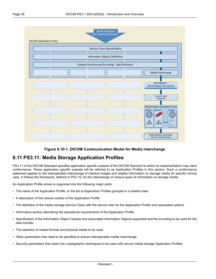<span id="page-27-1"></span>

#### **Figure 6.10-1. DICOM Communication Model for Media Interchange**

#### <span id="page-27-0"></span>**6.11 PS3.11: Media Storage Application Profiles**

[PS3.11](part11.pdf#PS3.11) of the DICOM Standard specifies application specific subsets of the DICOM Standard to which an implementation may claim conformance. These application specific subsets will be referred to as Application Profiles in this section. Such a conformance statement applies to the interoperable interchange of medical images and related information on storage media for specific clinical uses. It follows the framework, defined in [PS3.10](part10.pdf#PS3.10), for the interchange of various types of information on storage media.

An Application Profile annex is organized into the following major parts:

- The name of the Application Profile, or the list of Application Profiles grouped in a related class
- A description of the clinical context of the Application Profile
- The definition of the media storage Service Class with the device roles for the Application Profile and associated options
- Informative section describing the operational requirements of the Application Profile
- Specification of the Information Object Classes and associated Information Objects supported and the encoding to be used for the data transfer
- The selection of media formats and physical media to be used
- Other parameters that need to be specified to ensure interoperable media interchange
- Security parameters that select the cryptographic techniques to be used with secure media storage Application Profiles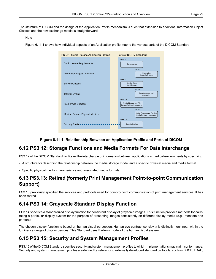The structure of DICOM and the design of the Application Profile mechanism is such that extension to additional Information Object Classes and the new exchange media is straightforward.

#### Note

<span id="page-28-4"></span>[Figure](#page-28-4) 6.11-1 shows how individual aspects of an Application profile map to the various parts of the DICOM Standard.



#### **Figure 6.11-1. Relationship Between an Application Profile and Parts of DICOM**

#### <span id="page-28-0"></span>**6.12 PS3.12: Storage Functions and Media Formats For Data Interchange**

<span id="page-28-1"></span>[PS3.12](part12.pdf#PS3.12) of the DICOM Standard facilitates the interchange of information between applications in medical environments by specifying:

- A structure for describing the relationship between the media storage model and a specific physical media and media format.
- Specific physical media characteristics and associated media formats.

#### <span id="page-28-2"></span>**6.13 PS3.13: Retired (formerly Print Management Point-to-point Communication Support)**

PS3.13 previously specified the services and protocols used for point-to-point communication of print management services. It has been retired.

### **6.14 PS3.14: Grayscale Standard Display Function**

<span id="page-28-3"></span>[PS3.14](part14.pdf#PS3.14) specifies a standardized display function for consistent display of grayscale images. This function provides methods for calib rating a particular display system for the purpose of presenting images consistently on different display media (e.g., monitors and printers).

The chosen display function is based on human visual perception. Human eye contrast sensitivity is distinctly non-linear within the luminance range of display devices. This Standard uses Barten's model of the human visual system.

### **6.15 PS3.15: Security and System Management Profiles**

[PS3.15](part15.pdf#PS3.15) of the DICOM Standard specifies security and system management profiles to which implementations may claim conformance. Security and system management profiles are defined by referencing externally developed standard protocols, such as DHCP, LDAP,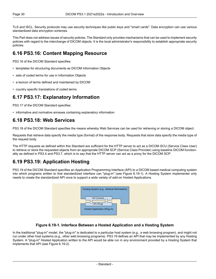TLS and ISCL. Security protocols may use security techniques like public keys and "smart cards". Data encryption can use various standardized data encryption schemes.

<span id="page-29-0"></span>This Part does not address issues of security policies. The Standard only provides mechanisms that can be used to implement security policies with regard to the interchange of DICOM objects. It is the local administrator's responsibility to establish appropriate security policies.

### **6.16 PS3.16: Content Mapping Resource**

[PS3.16](part16.pdf#PS3.16) of the DICOM Standard specifies:

- templates for structuring documents as DICOM Information Objects
- sets of coded terms for use in Information Objects
- <span id="page-29-1"></span>• a lexicon of terms defined and maintained by DICOM
- country specific translations of coded terms

#### **6.17 PS3.17: Explanatory Information**

<span id="page-29-2"></span>[PS3.17](part17.pdf#PS3.17) of the DICOM Standard specifies:

• informative and normative annexes containing explanatory information

#### **6.18 PS3.18: Web Services**

[PS3.18](part18.pdf#PS3.18) of the DICOM Standard specifies the means whereby Web Services can be used for retrieving or storing a DICOM object.

Requests that retrieve data specify the media type (format) of the response body. Requests that store data specify the media type of the request body.

<span id="page-29-3"></span>The HTTP requests as defined within this Standard are sufficient for the HTTP server to act as a DICOM SCU (Service Class User) to retrieve or store the requested objects from an appropriate DICOM SCP (Service Class Provider) using baseline DICOM function ality as defined in [PS3.4](part04.pdf#PS3.4) and [PS3.7,](part07.pdf#PS3.7) which is to say that the HTTP server can act as a proxy for the DICOM SCP.

### **6.19 PS3.19: Application Hosting**

<span id="page-29-4"></span>[PS3.19](part19.pdf#PS3.19) of the DICOM Standard specifies an Application Programming Interface (API) to a DICOM based medical computing system into which programs written to that standardized interface can "plug-in" (see [Figure](#page-29-4) 6.19-1). A Hosting System implementer only needs to create the standardized API once to support a wide variety of add-on Hosted Applications.

| Hosting System (e.g., Medical Workstation)                 |  |
|------------------------------------------------------------|--|
| API (Socket)<br>API (Plug)<br>Hosted Application (Plug-in) |  |
|                                                            |  |

#### **Figure 6.19-1. Interface Between a Hosted Application and a Hosting System**

In the traditional "plug-in" model, the "plug-in" is dedicated to a particular host system (e.g., a web browsing program), and might not run under other host systems (e.g., other web browsing programs). [PS3.19](part19.pdf#PS3.19) defines an API that may be implemented by any Hosting System. A "plug-in" Hosted Application written to the API would be able run in any environment provided by a Hosting System that implements that API (see [Figure](#page-30-3) 6.19-2).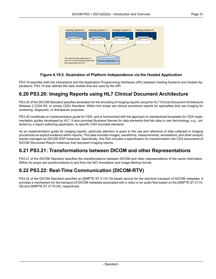<span id="page-30-3"></span>

#### **Figure 6.19-2. Illustration of Platform Independence via the Hosted Application**

<span id="page-30-0"></span>[PS3.19](part19.pdf#PS3.19) specifies both the interactions and the Application Programming Interfaces (API) between Hosting Systems and Hosted Ap plications. [PS3.19](part19.pdf#PS3.19) also defines the data models that are used by the API.

#### **6.20 PS3.20: Imaging Reports using HL7 Clinical Document Architecture**

[PS3.20](part20.pdf#PS3.20) of the DICOM Standard specifies templates for the encoding of imaging reports using the HL7 Clinical Document Architecture Release 2 (CDA R2, or simply CDA) Standard. Within this scope are clinical procedure reports for specialties that use imaging for screening, diagnostic, or therapeutic purposes.

[PS3.20](part20.pdf#PS3.20) constitutes an implementation guide for CDA, and is harmonized with the approach to standardized templates for CDA imple mentation guides developed by HL7. It also provides Business Names for data elements that link data in user terminology, e.g., col lected by a report authoring application, to specific CDA encoded elements.

<span id="page-30-1"></span>As an implementation guide for imaging reports, particular attention is given to the use and reference of data collected in imaging procedures as explicit evidence within reports. This data includes images, waveforms, measurements, annotations, and other analytic results managed as DICOM SOP Instances. Specifically, this Part includes a specification for transformation into CDA documents of DICOM Structured Report instances that represent imaging reports.

### <span id="page-30-2"></span>**6.21 PS3.21: Transformations between DICOM and other Representations**

[PS3.21](part21.pdf#PS3.21) of the DICOM Standard specifies the transformations between DICOM and other representations of the same information. Within its scope are transformations to and from the NCI Annotation and Image Markup format.

### **6.22 PS3.22: Real-Time Communication (DICOM-RTV)**

[PS3.22](part22.pdf#PS3.22) of the DICOM Standard specifies an [SMPTE ST [2110-10\]](#page-14-3) based service for the real-time transport of DICOM metadata. It provides a mechanism for the transport of DICOM metadata associated with a video or an audio flow based on the [\[SMPTE](#page-14-4) ST 2110- [20\]](#page-14-4) and [SMPTE ST [2110-30\],](#page-14-5) respectively.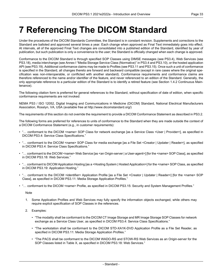# <span id="page-32-0"></span>**7 Referencing The DICOM Standard**

Under the procedures of the DICOM Standards Committee, the Standard is in constant revision. Supplements and corrections to the Standard are balloted and approved several times a year. Each change when approved as Final Text immediately goes into effect. At intervals, all of the approved Final Text changes are consolidated into a published edition of the Standard, identified by year of publication, but such publication is only a convenience to the user; the Standard is officially changed when each change is approved.

Conformance to the DICOM Standard is through specified SOP Classes using DIMSE messages (see [PS3.4](part04.pdf#PS3.4)), Web Services (see [PS3.18](part18.pdf#PS3.18)), media interchange (see Annex I "Media Storage Service Class [\(Normative\)"](part04.pdf#chapter_I) in PS3.4 and [PS3.10\)](part10.pdf#PS3.10), or the hosted application API (see [PS3.19\)](part19.pdf#PS3.19). Additional conformance claims may be made to Profiles (see [PS3.11](part11.pdf#PS3.11) and [PS3.15](part15.pdf#PS3.15)). Once such a unit of conformance is specified in the Standard, all changes thereto are forward and backward compatible (except in rare cases where the original spe cification was non-interoperable, or conflicted with another standard). Conformance requirements and conformance claims are therefore referenced to the name and/or identifier of the feature, and never referenced to an edition of the Standard. Generally, the only appropriate reference to a particular edition of the Standard is to identify a retired feature (see Section 1.4.2 [Continuous](#page-11-2) Main [tenance](#page-11-2)).

The following citation form is preferred for general references to the Standard, without specification of date of edition, when specific conformance requirements are not invoked:

NEMA PS3 / ISO 12052, Digital Imaging and Communications in Medicine (DICOM) Standard, National Electrical Manufacturers Association, Rosslyn, VA, USA (available free at <http://www.dicomstandard.org/>)

The requirements of this section do not override the requirement to provide a DICOM Conformance Statement as described in [PS3.2.](part02.pdf#PS3.2)

The following forms are preferred for references to units of conformance to the Standard when they are made outside the context of a DICOM Conformance Statement (e.g., in customer requirements):

- "… conformant to the DICOM <name> SOP Class for network exchange [as a Service Class <User | Provider>], as specified in DICOM [PS3.4:](part04.pdf#PS3.4) Service Class Specifications."
- "… conformant to the DICOM <name> SOP Class for media exchange [as a File Set <Creator | Updater | Reader>], as specified in DICOM [PS3.4](part04.pdf#PS3.4): Service Class Specifications."
- "... conformant to the DICOM <name> Web Service [as <an Origin-server | a User-agent>] [for the <name> SOP Class], as specified in DICOM [PS3.18](part18.pdf#PS3.18): Web Services."
- "… conformant to DICOM Application Hosting [as a <Hosting System | Hosted Application>] for the <name> SOP Class, as specified in DICOM [PS3.19](part19.pdf#PS3.19): Application Hosting."
- "… conformant to the DICOM <identifier> Application Profile [as a File Set <Creator | Updater | Reader>] [for the <name> SOP Class], as specified in DICOM [PS3.11](part11.pdf#PS3.11): Media Storage Application Profiles."
- "… conformant to the DICOM <name> Profile, as specified in DICOM [PS3.15:](part15.pdf#PS3.15) Security and System Management Profiles."

**Note** 

- 1. Some Application Profiles and Web Services may fully specify the information objects exchanged, while others may require explicit specification of SOP Classes in the references.
- 2. Examples:
	- "The modality shall be conformant to the DICOM CT Image Storage and MR Image Storage SOP Classes for network exchange as a Service Class User, as specified in DICOM [PS3.4:](part04.pdf#PS3.4) Service Class Specifications."
	- "The workstation shall be conformant to the DICOM STD-XA1K-DVD Application Profile as a File Set Reader, as specified in DICOM [PS3.11](part11.pdf#PS3.11): Media Storage Application Profiles."
	- "The PACS shall be conformant to the DICOM WADO-RS and STOW-RS Web Services as an Origin-server for the SOP Classes listed in Table X, as specified in DICOM [PS3.18](part18.pdf#PS3.18): Web Services."